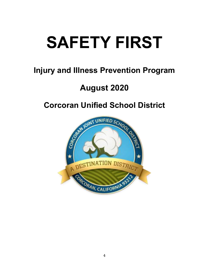# **SAFETY FIRST**

# **Injury and Illness Prevention Program**

# **August 2020**

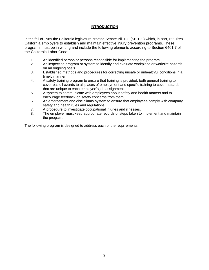#### **INTRODUCTION**

In the fall of 1989 the California legislature created Senate Bill 198 (SB 198) which, in part, requires California employers to establish and maintain effective injury prevention programs. These programs must be in writing and include the following elements according to Section 6401.7 of the California Labor Code:

- 1. An identified person or persons responsible for implementing the program.
- 2. An inspection program or system to identify and evaluate workplace or worksite hazards on an ongoing basis.
- 3. Established methods and procedures for correcting unsafe or unhealthful conditions in a timely manner.
- 4. A safety training program to ensure that training is provided, both general training to cover basic hazards to all places of employment and specific training to cover hazards that are unique to each employee's job assignment.
- 5. A system to communicate with employees about safety and health matters and to encourage feedback on safety concerns from them.
- 6. An enforcement and disciplinary system to ensure that employees comply with company safety and health rules and regulations.
- 7. A procedure to investigate occupational injuries and illnesses.
- 8. The employer must keep appropriate records of steps taken to implement and maintain the program.

The following program is designed to address each of the requirements.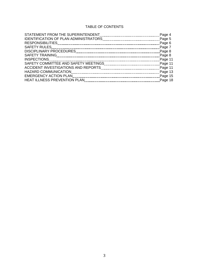### TABLE OF CONTENTS

|                              | Page 4  |
|------------------------------|---------|
|                              |         |
|                              | Page 6  |
| <b>SAFETY RULES</b>          | Page 7  |
|                              | Page 8  |
|                              | Page 8  |
|                              | Page 11 |
|                              |         |
|                              | Page 11 |
|                              | Page 13 |
|                              | Page 15 |
| HEAT ILLNESS PREVENTION PLAN | Page 18 |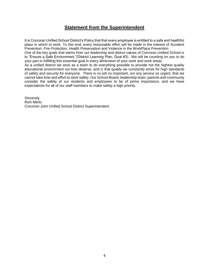# **Statement from the Superintendent**

It is Corcoran Unified School District's Policy that that every employee is entitled to a safe and healthful place in which to work. To this end, every reasonable effort will be made in the interest of Accident Prevention, Fire Protection, Health Preservation and Violence in the WorkPlace Prevention.

One of the key goals that stems from our leadership and district values of Corcoran Unified School is to "Ensure a Safe Environment."(District Learning Plan, Goal #3). We will be counting on you to do your part in fulfilling this essential goal in every dimension of your work and work areas.

As a unified district we work as a team to do everything possible to provide not the highest quality educational environment our kids deserve, and in that quality we constantly strive for high standards of safety and security for everyone. There is no job so important, nor any service so urgent, that we cannot take time and effort to work safely. Our School Board, leadership team, parents and community consider the safety of our students and employees to be of prime importance, and we have expectations for all of our staff members to make safety a high priority.

Sincerely, Rich Merlo Corcoran Joint Unified School District Superintendent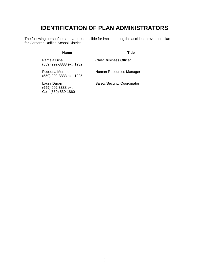# **IDENTIFICATION OF PLAN ADMINISTRATORS**

The following person/persons are responsible for implementing the accident prevention plan for Corcoran Unified School District

#### **Name Title**

Pamela Dihel (559) 992-8888 ext. 1232

Human Resources Manager

Chief Business Officer

Rebecca Moreno (559) 992-8888 ext. 1225

Laura Duran (559) 992-8888 ext. Cell: (559) 530-1860 Safety/Security Coordinator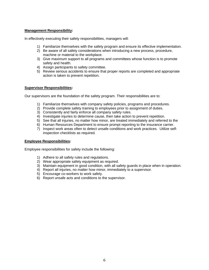#### **Management Responsibility:**

In effectively executing their safety responsibilities, managers will:

- 1) Familiarize themselves with the safety program and ensure its effective implementation.
- 2) Be aware of all safety considerations when introducing a new process, procedure, machine or material to the workplace.
- 3) Give maximum support to all programs and committees whose function is to promote safety and health.
- 4) Assign participants to safety committee.
- 5) Review serious accidents to ensure that proper reports are completed and appropriate action is taken to prevent repetition.

#### **Supervisor Responsibilities:**

Our supervisors are the foundation of the safety program. Their responsibilities are to:

- 1) Familiarize themselves with company safety policies, programs and procedures.
- 2) Provide complete safety training to employees prior to assignment of duties.
- 3) Consistently and fairly enforce all company safety rules.
- 4) Investigate injuries to determine cause, then take action to prevent repetition.
- 5) See that all injuries, no matter how minor, are treated immediately and referred to the
- 6) Human Resources Department to ensure prompt reporting to the insurance carrier.
- 7) Inspect work areas often to detect unsafe conditions and work practices. Utilize selfinspection checklists as required.

#### **Employee Responsibilities:**

Employee responsibilities for safety include the following:

- 1) Adhere to all safety rules and regulations.
- 2) Wear appropriate safety equipment as required.
- 3) Maintain equipment in good condition, with all safety guards in place when in operation.
- 4) Report all injuries, no matter how minor, immediately to a supervisor.
- 5) Encourage co-workers to work safely.
- 6) Report unsafe acts and conditions to the supervisor.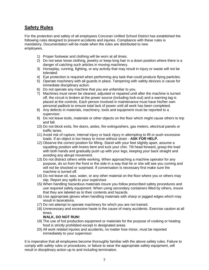# **Safety Rules**

For the protection and safety of all employees Corcoran Unified School District has established the following rules designed to prevent accidents and injuries. Compliance with these rules is mandatory. Documentation will be made when the rules are distributed to new employees.

- 1) Proper footwear and clothing will be worn at all times.
- 2) Do not wear loose clothing, jewelry or keep long hair in a down position where there is a danger of catching such articles in moving machinery.
- 3) Horseplay, running, fighting, or any activity that may result in injury or waste will not be tolerated.
- 4) Eye protection is required when performing any task that could produce flying particles.
- 5) Operate machinery with all guards in place. Tampering with safety devices is cause for immediate disciplinary action.
- 6) Do not operate any machine that you are unfamiliar to you.
- 7) Machines must never be cleaned, adjusted or repaired until after the machine is turned off, the circuit is broken at the power source (including lock-out) and a warning tag is placed at the controls. Each person involved in maintenance must have his/her own personal padlock to ensure total lack of power until all work has been completed.
- 8) Any defects in materials, machinery, tools and equipment must be reported to a supervisor.
- 9) Do not leave tools, materials or other objects on the floor which might cause others to trip and fall.
- 10) Do not block exits, fire doors, aisles, fire extinguishers, gas meters, electrical panels or traffic lanes.
- 11) Avoid risk of rupture, internal injury or back injury in attempting to lift or push excessive loads. If an object is too heavy to move without strain - **ASK FOR HELP.**
- 12) Observe the correct position for lifting. Stand with your feet slightly apart, assume a squatting position with knees bent and tuck your chin. Tilt head forward, grasp the load with both hands and gradually push up with your legs, keeping your back straight and avoiding any abrupt movement.
- 13) Do not distract others while working. When approaching a machine operator for any purpose, do so from the front or the side in a way that he or she will see you coming and will not be shocked or surprised. If conversation is necessary first make sure the machine is turned off.
- 14) Do not leave oil, wax, water, or any other material on the floor where you or others may slip. Report any spills to your supervisor.
- 15) When handling hazardous materials insure you follow prescribed safety procedures and use required safety equipment. When using secondary containers filled by others, insure that they are labeled as to their contents and hazards.
- 16) Use appropriate gloves when handling materials with sharp or jagged edges which may result in lacerations.
- 17) Do not attempt to operate machinery for which you are not trained.
- 18) Unnecessary and excessive haste is the cause of many accidents. Exercise caution at all times.

#### **WALK, DO NOT RUN!**

- 19) The use of hot production equipment or materials for the purpose of cooking or heating food is strictly prohibited except in designated areas.
- 20) All work related injuries and accidents, no matter how minor, must be reported immediately to your supervisor.

It is imperative that all employees become thoroughly familiar with the above safety rules. Failure to comply with safety rules or procedures, or failure to wear the appropriate safety equipment, will result in disciplinary action up to and including termination.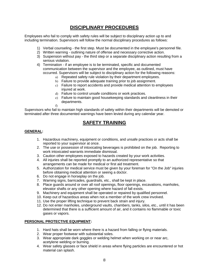# **DISCIPLINARY PROCEDURES**

Employees who fail to comply with safety rules will be subject to disciplinary action up to and including termination. Supervisors will follow the normal disciplinary procedures as follows:

- 1) Verbal counseling the first step. Must be documented in the employee's personnel file.
- 2) Written warning outlining nature of offense and necessary corrective action.
- 3) Suspension without pay the third step or a separate disciplinary action resulting from a serious violation.
- 4) Termination if an employee is to be terminated, specific and documented communication between the supervisor and the employee, as outlined, must have occurred. Supervisors will be subject to disciplinary action for the following reasons:
	- a) Repeated safety rule violation by their department employees.
	- b) Failure to provide adequate training prior to job assignment.
	- c) Failure to report accidents and provide medical attention to employees injured at work.
	- d) Failure to control unsafe conditions or work practices.
	- e) Failure to maintain good housekeeping standards and cleanliness in their departments.
	- f)

Supervisors who fail to maintain high standards of safety within their departments will be demoted or terminated after three documented warnings have been levied during any calendar year.

# **SAFETY TRAINING**

#### **GENERAL:**

- 1. Hazardous machinery, equipment or conditions, and unsafe practices or acts shall be reported to your supervisor at once.
- 2. The use or possession of intoxicating beverages is prohibited on the job. Reporting to work intoxicated warrants immediate dismissal.
- 3. Caution other employees exposed to hazards created by your work activities.
- 4. All injuries shall be reported promptly to an authorized representative so that arrangements can be made for medical or first aid treatment.
- 5. Authorization for medical service must be given by your foreman for "On the Job" injuries before obtaining medical attention or seeing a doctor.
- 6. Do not engage in horseplay on the job.
- 7. Warning signs, barricades, guardrails, etc., shall be kept in place.
- 8. Place guards around or over all roof openings, floor openings, excavations, manholes, elevator shafts or any other opening where hazard of fall exists.
- 9. Machinery and equipment shall be operated or repaired by qualified personnel.
- 10. Keep out of hazardous areas when not a member of the work crew involved.
- 11. Use the proper lifting technique to prevent back strain and injury.
- 12. Do not enter manholes, underground vaults, chambers, tanks, silos, etc., until it has been determined that there is a sufficient amount of air, and it contains no flammable or toxic gases or vapors.

#### **PERSONAL PROTECTIVE EQUIPMENT:**

- 1. Hard hats shall be worn where there is a hazard from falling or flying materials.
- 2. Wear proper footwear with substantial soles.
- 3. Wear appropriate dark goggles or welding helmet when working on or near arc, acetylene welding or burning.
- 4. Wear safety glasses or face shield in areas where flying particles are encountered or hot material can splash.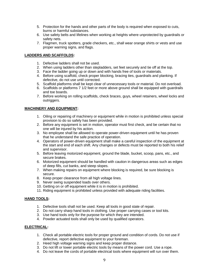- 5. Protection for the hands and other parts of the body is required when exposed to cuts, burns or harmful substances.
- 6. Use safety belts and lifelines when working at heights where unprotected by guardrails or safety nets.
- 7. Flagmen, truck spotters, grade checkers, etc., shall wear orange shirts or vests and use proper warning signs, and flags.

#### **LADDERS AND SCAFFOLDS:**

- 1. Defective ladders shall not be used.
- 2. When using ladders other than stepladders, set feet securely and tie off at the top.
- 3. Face the ladder going up or down and with hands free of tools or materials.
- 4. Before using scaffold, check proper blocking, bracing ties, guardrails and planking. If defective, do not use until corrected.
- 5. Scaffold platforms shall be kept clear of unnecessary tools or material. Do not overload.
- 6. Scaffolds or platforms 7 1/2 feet or more above ground shall be equipped with guardrails and toe boards.
- 7. Before working on rolling scaffolds, check braces, guys, wheel retainers, wheel locks and outriggers.

#### **MACHINERY AND EQUIPMENT:**

- 1. Oiling or repairing of machinery or equipment while in motion is prohibited unless special provision to do so safely has been provided.
- 2. Before any equipment is set in motion, operator must first check, and be certain that no one will be injured by his action.
- 3. No employee shall be allowed to operate power-driven equipment until he has proven that he understand the safe practice of operation.
- 4. Operators of power-driven equipment shall make a careful inspection of the equipment at the start and end of each shift. Any changes or defects must be reported to both his relief and supervisor.
- 5. Before leaving motorized equipment, ground the blade, bucket, scoop, pans, etc., and secure brakes.
- 6. Motorized equipment should be handled with caution in dangerous areas such as edges of deep fills, cut banks, and steep slopes.
- 7. When making repairs on equipment where blocking is required, be sure blocking is secure.
- 8. Keep proper clearance from all high voltage lines.
- 9. Never swing suspended loads over others.
- 10. Getting on or off equipment while it is in motion is prohibited.
- 11. Riding equipment is prohibited unless provided with adequate riding facilities.

#### **HAND TOOLS:**

- 1. Defective tools shall not be used. Keep all tools in good state of repair.
- 2. Do not carry sharp hand tools in clothing. Use proper carrying cases or tool kits.
- 3. Use hand tools only for the purpose for which they are intended.
- 4. Powder actuated tools shall only be used by qualified operators.

#### **ELECTRICAL:**

- 1. Check all portable electric tools for proper ground and condition of cords. Do not use if defective, report defective equipment to your foreman.
- 2. Heed high voltage warning signs and keep proper distance.
- 3. Do not lift or lower portable electric tools by means of the power cord. Use a rope.
- 4. Do not leave the cords of portable electrical tools where equipment will run over them.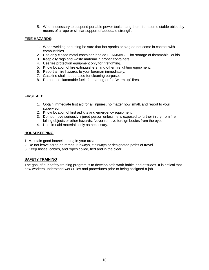5. When necessary to suspend portable power tools, hang them from some stable object by means of a rope or similar support of adequate strength.

#### **FIRE HAZARDS:**

- 1. When welding or cutting be sure that hot sparks or slag do not come in contact with combustibles.
- 2. Use only closed metal container labeled FLAMMABLE for storage of flammable liquids.
- 3. Keep oily rags and waste material in proper containers.
- 4. Use fire protection equipment only for firefighting.
- 5. Know location of fire extinguishers, and other firefighting equipment.
- 6. Report all fire hazards to your foreman immediately.
- 7. Gasoline shall not be used for cleaning purposes.
- 8. Do not use flammable fuels for starting or for "warm up" fires.

#### **FIRST AID:**

- 1. Obtain immediate first aid for all injuries, no matter how small, and report to your supervisor.
- 2. Know location of first aid kits and emergency equipment.
- 3. Do not move seriously injured person unless he is exposed to further injury from fire, falling objects or other hazards. Never remove foreign bodies from the eyes.
- 4. Use first aid materials only as necessary.

#### **HOUSEKEEPING:**

- 1. Maintain good housekeeping in your area.
- 2. Do not leave scrap on ramps, runways, stairways or designated paths of travel.
- 3. Keep hoses, cables, and ropes coiled, tied and in the clear.

#### **SAFETY TRAINING**

The goal of our safety-training program is to develop safe work habits and attitudes. It is critical that new workers understand work rules and procedures prior to being assigned a job.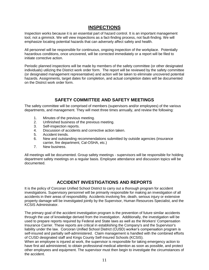# **INSPECTIONS**

Inspection works because it is an essential part of hazard control. It is an important management tool, not a gimmick. We will view inspections as a fact-finding process, not fault-finding. We will emphasize locating potential hazards that can adversely affect safety and health.

All personnel will be responsible for continuous, ongoing inspection of the workplace. Potentially hazardous conditions, once uncovered, will be corrected immediately or a report will be filed to initiate corrective action.

Periodic planned inspections will be made by members of the safety committee (or other designated individuals) utilizing the District work order form. The report will be reviewed by the safety committee (or designated management representative) and action will be taken to eliminate uncovered potential hazards. Assignments, target dates for completion, and actual completion dates will be documented on the District work order form.

# **SAFETY COMMITTEE AND SAFETY MEETINGS**

The safety committee will be comprised of members (supervisors and/or employees) of the various departments, and management. They will meet three times annually, and review the following:

- 1. Minutes of the previous meeting.
- 2. Unfinished business of the previous meeting.
- 3. Self-inspection reports.
- 4. Discussion of accidents and corrective action taken.
- 5. Accident trends.
- 6. New and outstanding recommendations submitted by outside agencies (insurance carrier, fire department, Cal-OSHA, etc.)
- 7. New business.

All meetings will be documented. Group safety meetings - supervisors will be responsible for holding department safety meetings on a regular basis. Employee attendance and discussion topics will be documented.

## **ACCIDENT INVESTIGATIONS AND REPORTS**

It is the policy of Corcoran Unified School District to carry out a thorough program for accident investigations. Supervisory personnel will be primarily responsible for making an investigation of all accidents in their areas of responsibility. Accidents involving fire, death, serious injury or extensive property damage will be investigated jointly by the Supervisor, Human Resources Specialist, and the KCSIS Administrator.

The primary goal of the accident investigation program is the prevention of future similar accidents through the use of knowledge derived from the investigation. Additionally, the investigation will be used to prepare reports required by Federal and State laws as well as the Workers' Compensation Insurance Carrier. These reports are critical in establishing the Company's and the Supervisor's liability under the law. Corcoran Unified School District (CUSD) worker's compensation program is self-insured and partially self-administered. Claim management is handled with the combined efforts of CUSD designated staff and Kings County Self-Insured Schools (KCSIS).

When an employee is injured at work, the supervisor is responsible for taking emergency action to have first aid administered, to obtain professional medical attention as soon as possible, and protect other employees and equipment. The supervisor must then begin to investigate the circumstances of the accident.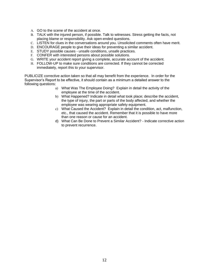- A. GO to the scene of the accident at once.
- B. TALK with the injured person, if possible. Talk to witnesses. Stress getting the facts, not placing blame or responsibility. Ask open-ended questions.
- C. LISTEN for clues in the conversations around you. Unsolicited comments often have merit.
- D. ENCOURAGE people to give their ideas for preventing a similar accident.
- E. STUDY possible causes unsafe conditions, unsafe practices.
- F. CONFER with interested persons about possible solutions.
- G. WRITE your accident report giving a complete, accurate account of the accident.
- H. FOLLOW-UP to make sure conditions are corrected. If they cannot be corrected immediately, report this to your supervisor.

PUBLICIZE corrective action taken so that all may benefit from the experience. In order for the Supervisor's Report to be effective, it should contain as a minimum a detailed answer to the following questions:

- a) What Was The Employee Doing? Explain in detail the activity of the employee at the time of the accident.
- b) What Happened? Indicate in detail what took place; describe the accident, the type of injury, the part or parts of the body affected, and whether the employee was wearing appropriate safety equipment.
- c) What Caused the Accident? Explain in detail the condition, act, malfunction, etc., that caused the accident. Remember that it is possible to have more than one reason or cause for an accident.
- d) What Can Be Done to Prevent a Similar Accident? Indicate corrective action to prevent recurrence.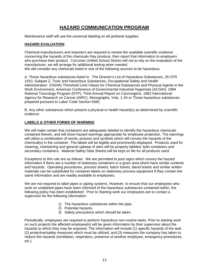# **HAZARD COMMUNICATION PROGRAM**

Maintenance staff will use the universal labeling on all janitorial supplies.

#### **HAZARD EVALUATION:**

Chemical manufacturers and importers are required to review the available scientific evidence concerning the hazards of the chemicals they produce, then report that information to employers who purchase their product. Corcoran Unified School District will not to rely on the evaluation of the manufacturer, we will arrange for additional testing when needed. We will consider any chemicals listed in one of the following sources to be hazardous:

A. Those hazardous substances listed in: The Director's List of Hazardous Substances, 29 CFR 1910, Subpart Z, Toxic and Hazardous Substances, Occupational Safety and Health Administration (OSHA) Threshold Limit Values for Chemical Substances and Physical Agents in the Work Environment, American Conference of Governmental Industrial Hygienists (ACGIH), 1984 National Toxicology Program (NTP), Third Annual Report on Carcinogens, 1983 International Agency for Research on Cancer (IARC), Monographs, Vols, 1-34 or Those hazardous substances prepared pursuant to Labor Code Section 6382.

B. Any other substances which present a physical or health hazard(s) as determined by scientific evidence.

#### **LABELS & OTHER FORMS OF WARNING**

We will make certain that containers are adequately labeled to identify the hazardous chemicals contained therein, and will show hazard warnings appropriate for employee protection. The warnings will utilize a combination of words, pictures and symbols which will convey the hazards of the chemical(s) in the container. The labels will be legible and prominently displayed. Products used for cleaning, maintaining and general upkeep of sites will be properly labeled, both containers and secondary containers. Material Safety Data Sheets will be kept on file for all products used.

Exceptions to this rule are as follows: We are permitted to post signs which convey the hazard information if there are a number of stationary containers in a given area which have similar contents and hazards. Operating procedures, process sheets, batch tickets, blend tickets and similar written materials can be substituted for container labels on stationary process equipment if they contain the same information and are readily available to employees.

We are not required to label pipes or piping systems. However, to ensure that our employees who work on unlabeled pipes have been informed of the hazardous substances contained within, the following policy has been established: Prior to Starting work our employees are to contact a supervisor for the following information:

- 1) The hazardous substances within the pipe.
- 2) Potential hazards.
- 3) Safety precautions which should be taken.

Periodically, employees are required to perform hazardous non-routine tasks. Prior to starting work on such projects the affected employee(s) will be given information by their supervisor about the hazards to which they may be exposed. The information will include (1) specific hazards of the task (2) protective/safety measures which must be utilized, and (3) measures the company has taken to reduce the hazards (ventilation, respirators, presence of another employee, emergency procedures, etc.).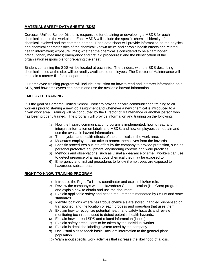#### **MATERIAL SAFETY DATA SHEETS (SDS)**

Corcoran Unified School District is responsible for obtaining or developing a MSDS for each chemical used in the workplace. Each MSDS will include the specific chemical identity of the chemical involved and the common names. Each data sheet will provide information on the physical and chemical characteristics of the chemical; known acute and chronic health effects and related health information; exposure limits; whether the chemical is considered to be a carcinogen; precautionary measures; emergency and first aid procedures; and the identification of the organization responsible for preparing the sheet.

Binders containing the SDS will be located at each site. The binders, with the SDS describing chemicals used at the site, will be readily available to employees. The Director of Maintenance will maintain a master file for all departments.

Our employee-training program will include instruction on how to read and interpret information on a SDS, and how employees can obtain and use the available hazard information.

#### **EMPLOYEE TRAINING**

It is the goal of Corcoran Unified School District to provide hazard communication training to all workers prior to starting a new job assignment and whenever a new chemical is introduced to a given work area. Training will be conducted by the Director of Maintenance or another person who has been properly trained. The program will provide information and training on the following:

- 1) How the hazard communication program is implemented, how to read and interpret information on labels and MSDS, and how employees can obtain and use the available hazard information.
- 2) The physical and health effects of the chemicals in the work area.
- 3) Measures employees can take to protect themselves from the hazards.
- 4) Specific procedures put into effect by the company to provide protection, such as personal protective equipment, engineering controls and work practices.
- 5) Methods and observations, such as visual appearance or smell, workers can use to detect presence of a hazardous chemical they may be exposed to.
- 6) Emergency and first aid procedures to follow if employees are exposed to hazardous substances.

#### **RIGHT-TO-KNOW TRAINING PROGRAM**

- 1) Introduce the Right-To-Know coordinator and explain his/her role.
- 2) Review the company's written Hazardous Communication (HazCom) program and explain how to obtain and use the document.
- 3) Explain applicable safety and health requirements mandated by OSHA and state standards.
- 4) Identify locations where hazardous chemicals are stored, handled, dispensed or transported, and the location of each process and operation that uses them.
- 5) Explain how to recognize potential health and safety hazards and review monitoring techniques used to detect potential health hazards.
- 6) Explain how to read SDS and related information (labels).
- 7) Explain safety precautions to be taken by the individual worker.
- 8) Explain in detail the labeling system used by the company.
- 9) Use visual aids to teach basic HazCom information to the general plant population.
- 10) Warn about specific work activities that increase the likelihood of a loss.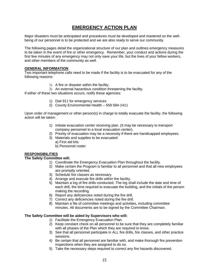# **EMERGENCY ACTION PLAN**

Major disasters must be anticipated and procedures must be developed and mastered so the wellbeing of our personnel is to be protected and we are also ready to serve our community.

The following pages detail the organizational structure of our plan and outlines emergency measures to be taken in the event of fire or other emergency. Remember, your conduct and actions during the first few minutes of any emergency may not only save your life, but the lives of your fellow workers, and other members of the community as well.

#### **GENERAL INFORMATION**

Two important telephone calls need to be made if the facility is to be evacuated for any of the following reasons:

1) A fire or disaster within the facility.

2) An external hazardous condition threatening the facility.

If either of these two situations occurs, notify these agencies:

- 1) Dial 911 for emergency services
- 2) County Environmental Health 559 584-1411

Upon order of management or other person(s) in charge to totally evacuate the facility, the following action will be taken:

- 1) Initiate evacuation center receiving plan. (It may be necessary to transport company personnel to a local evacuation center).
- 2) Priority of evacuation may be a necessity if there are handicapped employees.
- 3) Materials and supplies to be evacuated:
	- a) First aid kits
	- b) Personnel roster

#### **RESPONSIBILITIES**

#### **The Safety Committee will:**

- 1) Coordinate the Emergency Evacuation Plan throughout the facility.
- 2) Make certain the Program is familiar to all personnel and that all new employees are promptly oriented.
- 3) Schedule fire classes as necessary.
- 4) Arrange and execute fire drills within the facility.
- 5) Maintain a log of fire drills conducted. The log shall include the date and time of each drill, the time required to evacuate the building, and the initials of the person making the recording.
- 6) Report any deficiencies noted during the fire drill.
- 7) Correct any deficiencies noted during the fire drill.
- 8) Maintain a file of committee meetings and activities, including committee minutes. All documents are to be signed by the Committee Chairman.

#### **The Safety Committee will be aided by Supervisors who will:**

- 1) Facilitate the Emergency Evacuation Plan.
- 2) Keep constant check on all personnel to be sure that they are completely familiar with all phases of the Plan which they are required to know.
- 3) See that all personnel participate in ALL fire drills, fire classes, and other practice sessions.
- 4) Be certain that all personnel are familiar with, and make thorough fire prevention inspections when they are assigned to do so.
- 5) Take the necessary steps required to correct any fire hazards discovered.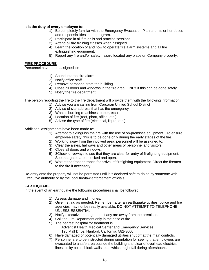#### **It is the duty of every employee to:**

- 1) Be completely familiar with the Emergency Evacuation Plan and his or her duties and responsibilities in the program.
- 2) Participate in all fire drills and practice sessions.
- 3) Attend all fire training classes when assigned.
- 4) Learn the location of and how to operate fire alarm systems and all fire extinguishing equipment.
- 5) Report any fire and/or safety hazard located any place on Company property.

#### **FIRE PROCEDURE**

Personnel have been assigned to:

- 1) Sound internal fire alarm.
- 2) Notify office staff.
- 3) Remove personnel from the building.
- 4) Close all doors and windows in the fire area, ONLY if this can be done safely.
	- 5) Notify the fire department.

The person reporting the fire to the fire department will provide them with the following information:

- 1) Advise you are calling from Corcoran Unified School District
- 2) Advise of site address that has the emergency
- 3) What is burning (machines, paper, etc.)
- 4) Location of fire (roof, plant, office, etc.)
- 5) Advise the type of fire (electrical, liquid, etc.)

Additional assignments have been made to:

- 1) Attempt to extinguish the fire with the use of on-premises equipment. To ensure employee safety, this is to be done only during the early stages of the fire.
- 2) Working away from the involved area, personnel will be assigned to:
- 3) Clear the aisles, hallways and other areas of personnel and visitors.
- 4) Close all doors and windows.
- 5) 3Check driveways to see that they are clear for entry of firefighting equipment. See that gates are unlocked and open.
- 6) Wait at the front entrance for arrival of firefighting equipment. Direct the firemen to the fire if necessary.

Re-entry onto the property will not be permitted until it is declared safe to do so by someone with Executive authority or by the local fire/law enforcement officials.

#### **EARTHQUAKE**

In the event of an earthquake the following procedures shall be followed:

- 1) Assess damage and injuries.
- 2) Give first aid as needed. Remember, after an earthquake utilities, police and fire agencies may not be readily available. DO NOT ATTEMPT TO TELEPHONE UNLESS ESSENTIAL.
- 3) Notify executive management if any are away from the premises.
- 4) Call the Fire Department only in the case of fire.
- 5) The nearest hospital for treatment is:

Adventist Health Medical Center and Emergency Services 125 Mall Drive, Hanford, California, 582-3000.

- 6) Have damaged or potentially damaged utilities shut off at the main controls.
- 7) Personnel are to be instructed during orientation for seeing that employees are evacuated to a safe area outside the building and clear of overhead electrical lines, utility poles, block walls, etc., which might fall during aftershocks.